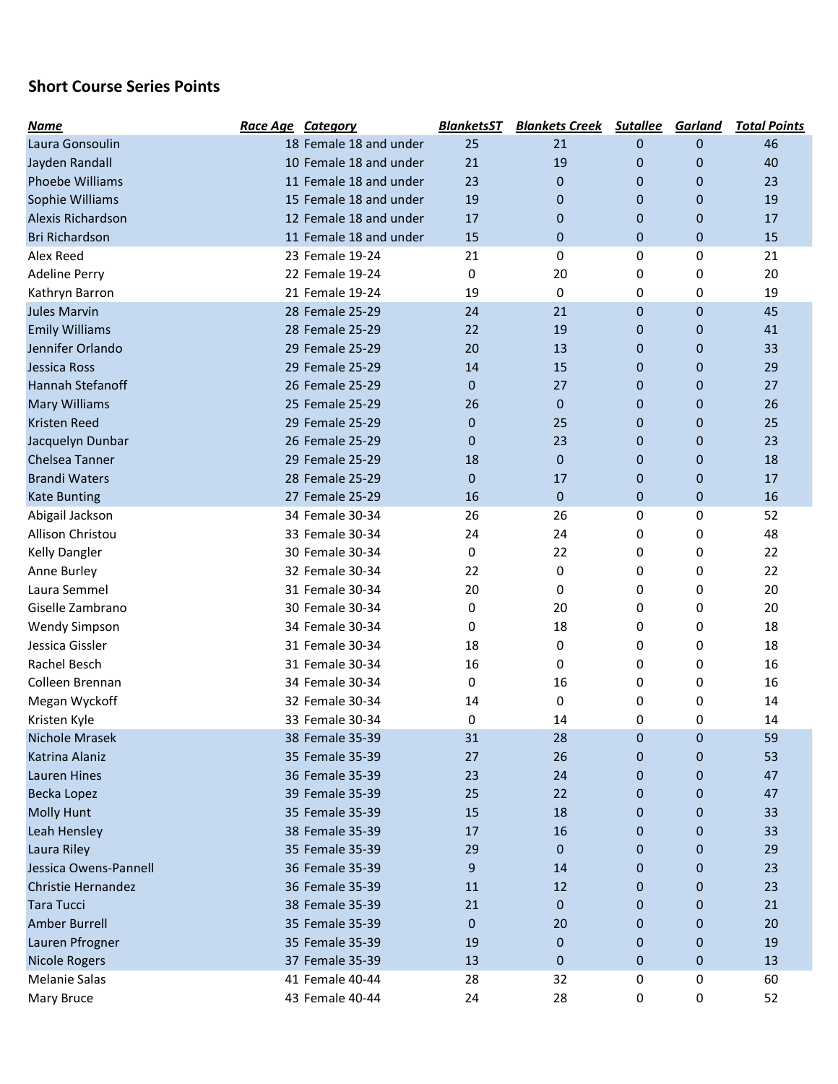## Short Course Series Points

| <b>Name</b>             | <b>Race Age Category</b> |                        | <b>BlanketsST</b> | <b>Blankets Creek</b> | <b>Sutallee</b> | <b>Garland</b> | <b>Total Points</b> |
|-------------------------|--------------------------|------------------------|-------------------|-----------------------|-----------------|----------------|---------------------|
| Laura Gonsoulin         |                          | 18 Female 18 and under | 25                | 21                    | 0               | 0              | 46                  |
| Jayden Randall          |                          | 10 Female 18 and under | 21                | 19                    | 0               | 0              | 40                  |
| Phoebe Williams         |                          | 11 Female 18 and under | 23                | 0                     | 0               | $\mathbf 0$    | 23                  |
| Sophie Williams         |                          | 15 Female 18 and under | 19                | 0                     | 0               | 0              | 19                  |
| Alexis Richardson       |                          | 12 Female 18 and under | 17                | 0                     | 0               | $\mathbf 0$    | 17                  |
| <b>Bri Richardson</b>   |                          | 11 Female 18 and under | 15                | $\mathbf{0}$          | 0               | $\mathbf 0$    | 15                  |
| Alex Reed               |                          | 23 Female 19-24        | 21                | 0                     | 0               | 0              | 21                  |
| <b>Adeline Perry</b>    |                          | 22 Female 19-24        | 0                 | 20                    | 0               | 0              | 20                  |
| Kathryn Barron          |                          | 21 Female 19-24        | 19                | 0                     | 0               | 0              | 19                  |
| <b>Jules Marvin</b>     |                          | 28 Female 25-29        | 24                | 21                    | 0               | $\mathbf{0}$   | 45                  |
| <b>Emily Williams</b>   |                          | 28 Female 25-29        | 22                | 19                    | 0               | $\mathbf 0$    | 41                  |
| Jennifer Orlando        |                          | 29 Female 25-29        | 20                | 13                    | 0               | 0              | 33                  |
| <b>Jessica Ross</b>     |                          | 29 Female 25-29        | 14                | 15                    | 0               | 0              | 29                  |
| <b>Hannah Stefanoff</b> |                          | 26 Female 25-29        | $\mathbf 0$       | 27                    | 0               | $\mathbf 0$    | 27                  |
| <b>Mary Williams</b>    |                          | 25 Female 25-29        | 26                | $\mathbf{0}$          | 0               | 0              | 26                  |
| <b>Kristen Reed</b>     |                          | 29 Female 25-29        | 0                 | 25                    | 0               | 0              | 25                  |
| Jacquelyn Dunbar        |                          | 26 Female 25-29        | 0                 | 23                    | 0               | 0              | 23                  |
| <b>Chelsea Tanner</b>   |                          | 29 Female 25-29        | 18                | $\overline{0}$        | 0               | $\mathbf 0$    | 18                  |
| <b>Brandi Waters</b>    |                          | 28 Female 25-29        | $\mathbf 0$       | 17                    | 0               | $\mathbf 0$    | 17                  |
| <b>Kate Bunting</b>     |                          | 27 Female 25-29        | 16                | $\mathbf{0}$          | 0               | $\mathbf 0$    | 16                  |
| Abigail Jackson         |                          | 34 Female 30-34        | 26                | 26                    | 0               | 0              | 52                  |
| Allison Christou        |                          | 33 Female 30-34        | 24                | 24                    | 0               | 0              | 48                  |
| <b>Kelly Dangler</b>    |                          | 30 Female 30-34        | 0                 | 22                    | 0               | 0              | 22                  |
| Anne Burley             |                          | 32 Female 30-34        | 22                | 0                     | 0               | 0              | 22                  |
| Laura Semmel            |                          | 31 Female 30-34        | 20                | 0                     | 0               | 0              | 20                  |
| Giselle Zambrano        |                          | 30 Female 30-34        | 0                 | 20                    | 0               | 0              | 20                  |
| <b>Wendy Simpson</b>    |                          | 34 Female 30-34        | 0                 | 18                    | 0               | 0              | 18                  |
| Jessica Gissler         |                          | 31 Female 30-34        | 18                | 0                     | 0               | 0              | 18                  |
| Rachel Besch            |                          | 31 Female 30-34        | 16                | 0                     | 0               | 0              | 16                  |
| Colleen Brennan         |                          | 34 Female 30-34        | 0                 | 16                    | 0               | 0              | 16                  |
| Megan Wyckoff           |                          | 32 Female 30-34        | 14                | 0                     | 0               | 0              | 14                  |
| Kristen Kyle            |                          | 33 Female 30-34        | 0                 | 14                    | 0               | 0              | 14                  |
| Nichole Mrasek          |                          | 38 Female 35-39        | 31                | 28                    | 0               | $\mathbf 0$    | 59                  |
| Katrina Alaniz          |                          | 35 Female 35-39        | 27                | 26                    | 0               | 0              | 53                  |
| <b>Lauren Hines</b>     |                          | 36 Female 35-39        | 23                | 24                    | 0               | $\mathbf 0$    | 47                  |
| Becka Lopez             |                          | 39 Female 35-39        | 25                | 22                    | 0               | $\mathbf 0$    | 47                  |
| <b>Molly Hunt</b>       |                          | 35 Female 35-39        | 15                | 18                    | 0               | 0              | 33                  |
| Leah Hensley            |                          | 38 Female 35-39        | 17                | 16                    | 0               | 0              | 33                  |
| Laura Riley             |                          | 35 Female 35-39        | 29                | 0                     | 0               | $\mathbf 0$    | 29                  |
| Jessica Owens-Pannell   |                          | 36 Female 35-39        | 9                 | 14                    | 0               | $\mathbf{0}$   | 23                  |
| Christie Hernandez      |                          | 36 Female 35-39        | 11                | 12                    | 0               | 0              | 23                  |
| <b>Tara Tucci</b>       |                          | 38 Female 35-39        | 21                | $\mathbf{0}$          | 0               | 0              | 21                  |
| <b>Amber Burrell</b>    |                          | 35 Female 35-39        | $\mathbf{0}$      | 20                    | 0               | 0              | 20                  |
| Lauren Pfrogner         |                          | 35 Female 35-39        | 19                | $\mathbf{0}$          | 0               | 0              | 19                  |
| <b>Nicole Rogers</b>    |                          | 37 Female 35-39        | 13                | 0                     | 0               | $\mathbf 0$    | 13                  |
| <b>Melanie Salas</b>    |                          | 41 Female 40-44        | 28                | 32                    | 0               | 0              | 60                  |
| Mary Bruce              |                          | 43 Female 40-44        | 24                | 28                    | 0               | 0              | 52                  |
|                         |                          |                        |                   |                       |                 |                |                     |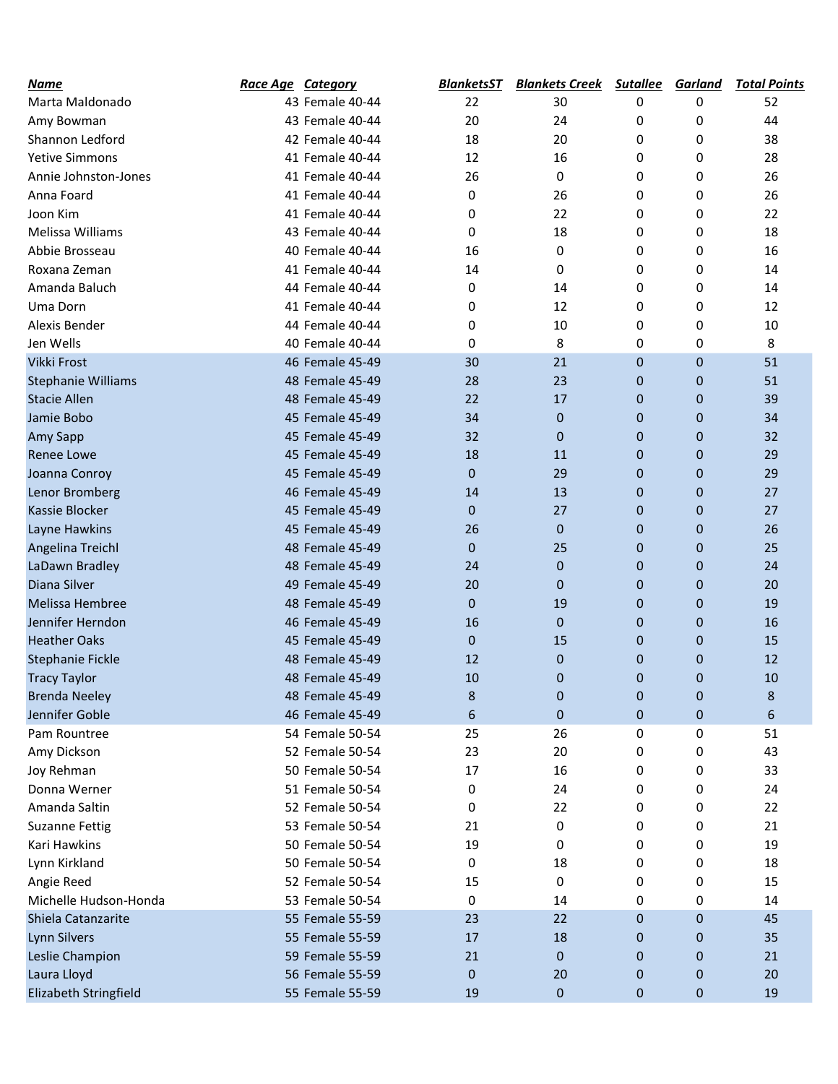| Name                      | <b>Race Age Category</b> | BlanketsST   | <b>Blankets Creek</b> | <b>Sutallee</b> | <b>Garland</b>   | <b>Total Points</b> |
|---------------------------|--------------------------|--------------|-----------------------|-----------------|------------------|---------------------|
| Marta Maldonado           | 43 Female 40-44          | 22           | 30                    | 0               | 0                | 52                  |
| Amy Bowman                | 43 Female 40-44          | 20           | 24                    | 0               | 0                | 44                  |
| Shannon Ledford           | 42 Female 40-44          | 18           | 20                    | 0               | 0                | 38                  |
| <b>Yetive Simmons</b>     | 41 Female 40-44          | 12           | 16                    | 0               | 0                | 28                  |
| Annie Johnston-Jones      | 41 Female 40-44          | 26           | 0                     | 0               | 0                | 26                  |
| Anna Foard                | 41 Female 40-44          | 0            | 26                    | 0               | 0                | 26                  |
| Joon Kim                  | 41 Female 40-44          | 0            | 22                    | 0               | 0                | 22                  |
| Melissa Williams          | 43 Female 40-44          | 0            | 18                    | 0               | 0                | 18                  |
| Abbie Brosseau            | 40 Female 40-44          | 16           | 0                     | 0               | 0                | 16                  |
| Roxana Zeman              | 41 Female 40-44          | 14           | 0                     | 0               | 0                | 14                  |
| Amanda Baluch             | 44 Female 40-44          | 0            | 14                    | 0               | 0                | 14                  |
| Uma Dorn                  | 41 Female 40-44          | 0            | 12                    | 0               | 0                | 12                  |
| Alexis Bender             | 44 Female 40-44          | 0            | 10                    | 0               | 0                | 10                  |
| Jen Wells                 | 40 Female 40-44          | 0            | 8                     | 0               | 0                | 8                   |
| Vikki Frost               | 46 Female 45-49          | 30           | 21                    | $\mathbf 0$     | $\mathbf 0$      | 51                  |
| <b>Stephanie Williams</b> | 48 Female 45-49          | 28           | 23                    | 0               | $\mathbf 0$      | 51                  |
| <b>Stacie Allen</b>       | 48 Female 45-49          | 22           | 17                    | $\mathbf 0$     | $\mathbf 0$      | 39                  |
| Jamie Bobo                | 45 Female 45-49          | 34           | $\mathbf{0}$          | 0               | $\mathbf 0$      | 34                  |
| Amy Sapp                  | 45 Female 45-49          | 32           | $\mathbf{0}$          | 0               | 0                | 32                  |
| <b>Renee Lowe</b>         | 45 Female 45-49          | 18           | 11                    | 0               | $\mathbf 0$      | 29                  |
| Joanna Conroy             | 45 Female 45-49          | $\mathbf{0}$ | 29                    | $\mathbf 0$     | $\mathbf 0$      | 29                  |
| Lenor Bromberg            | 46 Female 45-49          | 14           | 13                    | 0               | $\mathbf 0$      | 27                  |
| <b>Kassie Blocker</b>     | 45 Female 45-49          | $\Omega$     | 27                    | $\Omega$        | $\mathbf 0$      | 27                  |
| Layne Hawkins             | 45 Female 45-49          | 26           | $\mathbf{0}$          | 0               | 0                | 26                  |
| Angelina Treichl          | 48 Female 45-49          | $\mathbf{0}$ | 25                    | $\mathbf 0$     | $\mathbf 0$      | 25                  |
| LaDawn Bradley            | 48 Female 45-49          | 24           | $\mathbf{0}$          | 0               | $\mathbf 0$      | 24                  |
| Diana Silver              | 49 Female 45-49          | 20           | 0                     | 0               | 0                | 20                  |
| Melissa Hembree           | 48 Female 45-49          | $\Omega$     | 19                    | 0               | 0                | 19                  |
| Jennifer Herndon          | 46 Female 45-49          | 16           | $\mathbf{0}$          | 0               | $\mathbf 0$      | 16                  |
| <b>Heather Oaks</b>       | 45 Female 45-49          | $\mathbf{0}$ | 15                    | 0               | 0                | 15                  |
| Stephanie Fickle          | 48 Female 45-49          | 12           | $\mathbf{0}$          | $\Omega$        | 0                | 12                  |
| <b>Tracy Taylor</b>       | 48 Female 45-49          | 10           | $\mathbf{0}$          | 0               | $\mathbf 0$      | 10                  |
| <b>Brenda Neeley</b>      | 48 Female 45-49          | 8            | 0                     | 0               | 0                | 8                   |
| Jennifer Goble            | 46 Female 45-49          | 6            | 0                     | 0               | $\boldsymbol{0}$ | 6                   |
| Pam Rountree              | 54 Female 50-54          | 25           | 26                    | 0               | 0                | 51                  |
| Amy Dickson               | 52 Female 50-54          | 23           | 20                    | 0               | 0                | 43                  |
| Joy Rehman                | 50 Female 50-54          | 17           | 16                    | 0               | 0                | 33                  |
| Donna Werner              | 51 Female 50-54          | 0            | 24                    | 0               | 0                | 24                  |
| Amanda Saltin             | 52 Female 50-54          | 0            | 22                    | 0               | 0                | 22                  |
| <b>Suzanne Fettig</b>     | 53 Female 50-54          | 21           | 0                     | 0               | 0                | 21                  |
| Kari Hawkins              | 50 Female 50-54          | 19           | 0                     | 0               | 0                | 19                  |
| Lynn Kirkland             | 50 Female 50-54          | 0            | 18                    | 0               | 0                | 18                  |
| Angie Reed                | 52 Female 50-54          | 15           | 0                     | 0               | 0                | 15                  |
| Michelle Hudson-Honda     | 53 Female 50-54          | 0            | 14                    | 0               | 0                | 14                  |
| Shiela Catanzarite        | 55 Female 55-59          | 23           | 22                    | 0               | 0                | 45                  |
| <b>Lynn Silvers</b>       | 55 Female 55-59          | 17           | 18                    | 0               | 0                | 35                  |
| Leslie Champion           | 59 Female 55-59          | 21           | 0                     | 0               | 0                | 21                  |
| Laura Lloyd               | 56 Female 55-59          | $\mathbf 0$  | 20                    | 0               | 0                | 20                  |
| Elizabeth Stringfield     | 55 Female 55-59          | 19           | 0                     | $\mathbf 0$     | 0                | 19                  |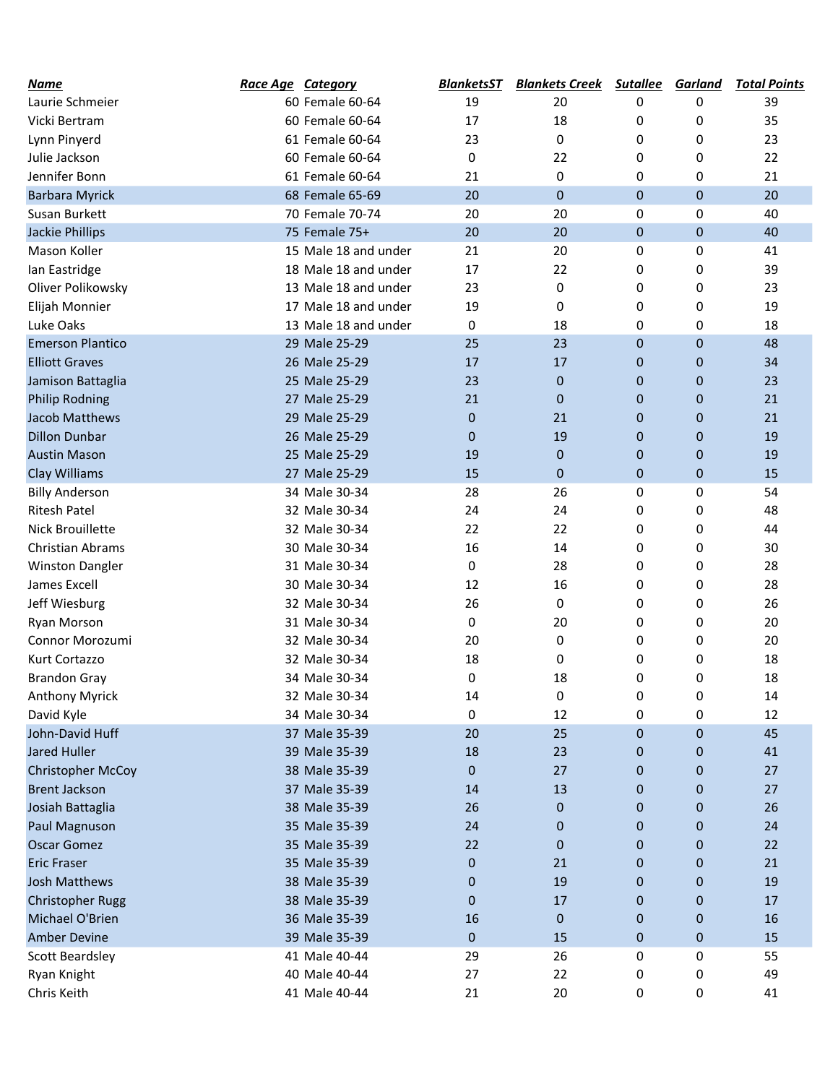| Name                    | <b>Race Age Category</b> |                      | <b>BlanketsST</b> | <b>Blankets Creek</b> | <b>Sutallee</b> | <b>Garland</b> | <b>Total Points</b> |
|-------------------------|--------------------------|----------------------|-------------------|-----------------------|-----------------|----------------|---------------------|
| Laurie Schmeier         |                          | 60 Female 60-64      | 19                | 20                    | 0               | 0              | 39                  |
| Vicki Bertram           |                          | 60 Female 60-64      | 17                | 18                    | 0               | 0              | 35                  |
| Lynn Pinyerd            |                          | 61 Female 60-64      | 23                | 0                     | 0               | 0              | 23                  |
| Julie Jackson           |                          | 60 Female 60-64      | 0                 | 22                    | 0               | 0              | 22                  |
| Jennifer Bonn           |                          | 61 Female 60-64      | 21                | 0                     | 0               | 0              | 21                  |
| <b>Barbara Myrick</b>   |                          | 68 Female 65-69      | 20                | 0                     | 0               | $\mathbf 0$    | 20                  |
| Susan Burkett           |                          | 70 Female 70-74      | 20                | 20                    | 0               | 0              | 40                  |
| Jackie Phillips         |                          | 75 Female 75+        | 20                | 20                    | $\mathbf 0$     | $\mathbf 0$    | 40                  |
| Mason Koller            |                          | 15 Male 18 and under | 21                | 20                    | 0               | 0              | 41                  |
| lan Eastridge           |                          | 18 Male 18 and under | 17                | 22                    | 0               | 0              | 39                  |
| Oliver Polikowsky       |                          | 13 Male 18 and under | 23                | 0                     | 0               | 0              | 23                  |
| Elijah Monnier          |                          | 17 Male 18 and under | 19                | 0                     | 0               | 0              | 19                  |
| Luke Oaks               |                          | 13 Male 18 and under | 0                 | 18                    | 0               | 0              | 18                  |
| <b>Emerson Plantico</b> |                          | 29 Male 25-29        | 25                | 23                    | $\mathbf 0$     | $\mathbf 0$    | 48                  |
| <b>Elliott Graves</b>   |                          | 26 Male 25-29        | 17                | 17                    | 0               | 0              | 34                  |
| Jamison Battaglia       |                          | 25 Male 25-29        | 23                | $\overline{0}$        | 0               | $\mathbf 0$    | 23                  |
| <b>Philip Rodning</b>   |                          | 27 Male 25-29        | 21                | 0                     | 0               | $\mathbf 0$    | 21                  |
| Jacob Matthews          |                          | 29 Male 25-29        | 0                 | 21                    | 0               | $\mathbf 0$    | 21                  |
| <b>Dillon Dunbar</b>    |                          | 26 Male 25-29        | 0                 | 19                    | 0               | $\mathbf 0$    | 19                  |
| <b>Austin Mason</b>     |                          | 25 Male 25-29        | 19                | $\overline{0}$        | 0               | $\mathbf 0$    | 19                  |
| Clay Williams           |                          | 27 Male 25-29        | 15                | 0                     | 0               | $\pmb{0}$      | 15                  |
| <b>Billy Anderson</b>   |                          | 34 Male 30-34        | 28                | 26                    | 0               | 0              | 54                  |
| <b>Ritesh Patel</b>     |                          | 32 Male 30-34        | 24                | 24                    | 0               | 0              | 48                  |
| <b>Nick Brouillette</b> |                          | 32 Male 30-34        | 22                | 22                    | 0               | 0              | 44                  |
| Christian Abrams        |                          | 30 Male 30-34        | 16                | 14                    | 0               | 0              | 30                  |
| <b>Winston Dangler</b>  |                          | 31 Male 30-34        | 0                 | 28                    | 0               | 0              | 28                  |
| James Excell            |                          | 30 Male 30-34        | 12                | 16                    | 0               | 0              | 28                  |
| Jeff Wiesburg           |                          | 32 Male 30-34        | 26                | 0                     | 0               | 0              | 26                  |
| Ryan Morson             |                          | 31 Male 30-34        | 0                 | 20                    | 0               | 0              | 20                  |
| Connor Morozumi         |                          | 32 Male 30-34        | 20                | 0                     | 0               | 0              | 20                  |
| Kurt Cortazzo           |                          | 32 Male 30-34        | 18                | 0                     | 0               | 0              | 18                  |
| <b>Brandon Gray</b>     |                          | 34 Male 30-34        | 0                 | 18                    | 0               | 0              | 18                  |
| <b>Anthony Myrick</b>   |                          | 32 Male 30-34        | 14                | 0                     | 0               | 0              | 14                  |
| David Kyle              |                          | 34 Male 30-34        | 0                 | 12                    | 0               | 0              | 12                  |
| John-David Huff         |                          | 37 Male 35-39        | 20                | 25                    | 0               | $\mathbf 0$    | 45                  |
| Jared Huller            |                          | 39 Male 35-39        | 18                | 23                    | 0               | 0              | 41                  |
| Christopher McCoy       |                          | 38 Male 35-39        | 0                 | 27                    | 0               | 0              | 27                  |
| <b>Brent Jackson</b>    |                          | 37 Male 35-39        | 14                | 13                    | 0               | 0              | 27                  |
| Josiah Battaglia        |                          | 38 Male 35-39        | 26                | $\mathbf{0}$          | 0               | $\mathbf 0$    | 26                  |
| Paul Magnuson           |                          | 35 Male 35-39        | 24                | 0                     | 0               | $\pmb{0}$      | 24                  |
| <b>Oscar Gomez</b>      |                          | 35 Male 35-39        | 22                | 0                     | 0               | 0              | 22                  |
| <b>Eric Fraser</b>      |                          | 35 Male 35-39        | $\mathbf 0$       | 21                    | 0               | $\mathbf 0$    | 21                  |
| <b>Josh Matthews</b>    |                          | 38 Male 35-39        | 0                 | 19                    | 0               | 0              | 19                  |
| <b>Christopher Rugg</b> |                          | 38 Male 35-39        | $\mathbf 0$       | 17                    | 0               | 0              | 17                  |
| Michael O'Brien         |                          | 36 Male 35-39        | 16                | 0                     | 0               | 0              | 16                  |
| <b>Amber Devine</b>     |                          | 39 Male 35-39        | $\mathbf 0$       | 15                    | 0               | $\pmb{0}$      | 15                  |
| Scott Beardsley         |                          | 41 Male 40-44        | 29                | 26                    | 0               | 0              | 55                  |
| Ryan Knight             |                          | 40 Male 40-44        | 27                | 22                    | 0               | 0              | 49                  |
| Chris Keith             |                          | 41 Male 40-44        | 21                | 20                    | 0               | 0              | 41                  |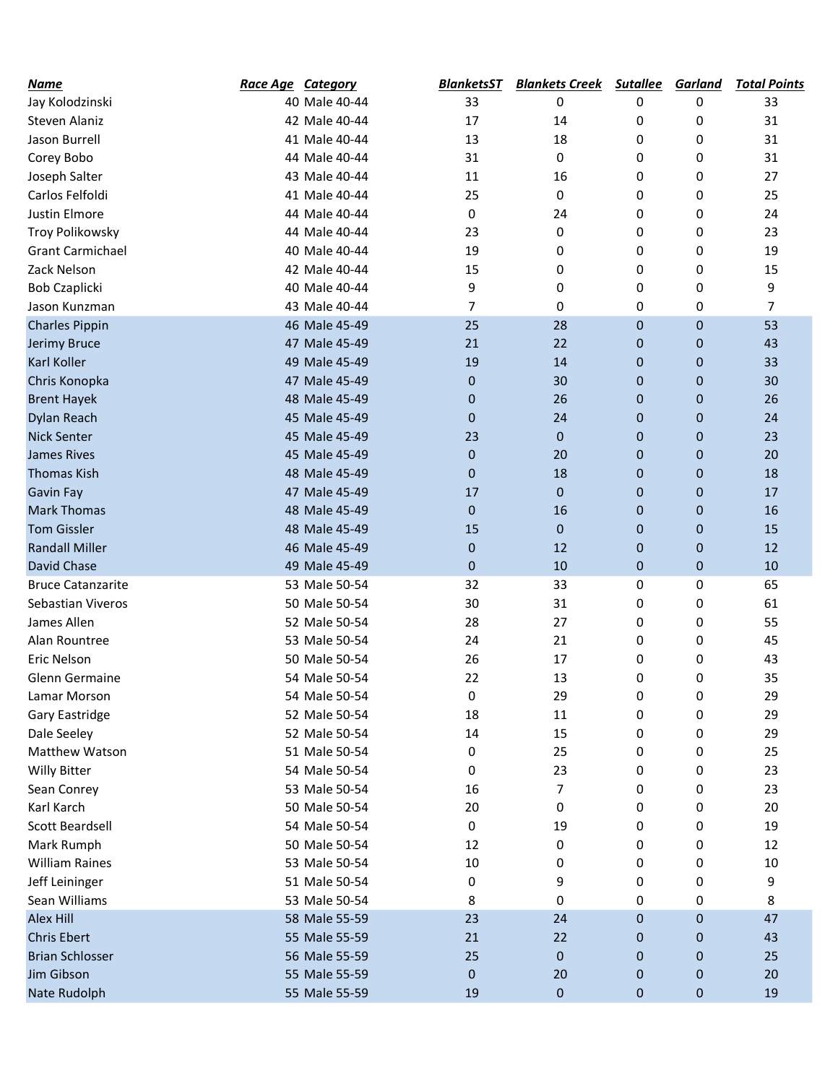| Name                     | <b>Race Age Category</b> |               | <b>BlanketsST</b> | <b>Blankets Creek</b> | <b>Sutallee</b> | <b>Garland</b>   | <b>Total Points</b> |
|--------------------------|--------------------------|---------------|-------------------|-----------------------|-----------------|------------------|---------------------|
| Jay Kolodzinski          |                          | 40 Male 40-44 | 33                | 0                     | 0               | 0                | 33                  |
| Steven Alaniz            |                          | 42 Male 40-44 | 17                | 14                    | 0               | 0                | 31                  |
| Jason Burrell            |                          | 41 Male 40-44 | 13                | 18                    | 0               | 0                | 31                  |
| Corey Bobo               |                          | 44 Male 40-44 | 31                | 0                     | 0               | 0                | 31                  |
| Joseph Salter            |                          | 43 Male 40-44 | 11                | 16                    | 0               | 0                | 27                  |
| Carlos Felfoldi          |                          | 41 Male 40-44 | 25                | 0                     | 0               | 0                | 25                  |
| <b>Justin Elmore</b>     |                          | 44 Male 40-44 | 0                 | 24                    | 0               | 0                | 24                  |
| Troy Polikowsky          |                          | 44 Male 40-44 | 23                | 0                     | 0               | 0                | 23                  |
| <b>Grant Carmichael</b>  |                          | 40 Male 40-44 | 19                | 0                     | 0               | 0                | 19                  |
| Zack Nelson              |                          | 42 Male 40-44 | 15                | 0                     | 0               | 0                | 15                  |
| <b>Bob Czaplicki</b>     |                          | 40 Male 40-44 | 9                 | 0                     | 0               | 0                | 9                   |
| Jason Kunzman            |                          | 43 Male 40-44 | 7                 | 0                     | 0               | 0                | $\overline{7}$      |
| <b>Charles Pippin</b>    |                          | 46 Male 45-49 | 25                | 28                    | $\mathbf 0$     | $\mathbf 0$      | 53                  |
| Jerimy Bruce             |                          | 47 Male 45-49 | 21                | 22                    | 0               | $\mathbf 0$      | 43                  |
| Karl Koller              |                          | 49 Male 45-49 | 19                | 14                    | 0               | 0                | 33                  |
| Chris Konopka            |                          | 47 Male 45-49 | $\mathbf 0$       | 30                    | 0               | 0                | 30                  |
| <b>Brent Hayek</b>       |                          | 48 Male 45-49 | 0                 | 26                    | 0               | $\mathbf 0$      | 26                  |
| Dylan Reach              |                          | 45 Male 45-49 | 0                 | 24                    | 0               | 0                | 24                  |
| <b>Nick Senter</b>       |                          | 45 Male 45-49 | 23                | 0                     | 0               | 0                | 23                  |
| <b>James Rives</b>       |                          | 45 Male 45-49 | $\mathbf 0$       | 20                    | 0               | 0                | 20                  |
| <b>Thomas Kish</b>       |                          | 48 Male 45-49 | $\mathbf 0$       | 18                    | 0               | $\mathbf 0$      | 18                  |
| <b>Gavin Fay</b>         |                          | 47 Male 45-49 | 17                | 0                     | 0               | $\mathbf 0$      | 17                  |
| <b>Mark Thomas</b>       |                          | 48 Male 45-49 | $\mathbf{0}$      | 16                    | 0               | $\mathbf 0$      | 16                  |
| <b>Tom Gissler</b>       |                          | 48 Male 45-49 | 15                | 0                     | 0               | $\mathbf 0$      | 15                  |
| <b>Randall Miller</b>    |                          | 46 Male 45-49 | 0                 | 12                    | 0               | $\mathbf 0$      | 12                  |
| David Chase              |                          | 49 Male 45-49 | $\mathbf 0$       | 10                    | 0               | $\mathbf 0$      | 10                  |
| <b>Bruce Catanzarite</b> |                          | 53 Male 50-54 | 32                | 33                    | 0               | 0                | 65                  |
| Sebastian Viveros        |                          | 50 Male 50-54 | 30                | 31                    | 0               | 0                | 61                  |
| James Allen              |                          | 52 Male 50-54 | 28                | 27                    | 0               | 0                | 55                  |
| Alan Rountree            |                          | 53 Male 50-54 | 24                | 21                    | 0               | 0                | 45                  |
| Eric Nelson              |                          | 50 Male 50-54 | 26                | 17                    | 0               | 0                | 43                  |
| Glenn Germaine           |                          | 54 Male 50-54 | 22                | 13                    | 0               | 0                | 35                  |
| Lamar Morson             |                          | 54 Male 50-54 | 0                 | 29                    | 0               | 0                | 29                  |
| Gary Eastridge           |                          | 52 Male 50-54 | 18                | 11                    | 0               | 0                | 29                  |
| Dale Seeley              |                          | 52 Male 50-54 | 14                | 15                    | 0               | 0                | 29                  |
| Matthew Watson           |                          | 51 Male 50-54 | 0                 | 25                    | 0               | 0                | 25                  |
| <b>Willy Bitter</b>      |                          | 54 Male 50-54 | 0                 | 23                    | 0               | 0                | 23                  |
| Sean Conrey              |                          | 53 Male 50-54 | 16                | 7                     | 0               | 0                | 23                  |
| Karl Karch               |                          | 50 Male 50-54 | 20                | 0                     | 0               | 0                | 20                  |
| Scott Beardsell          |                          | 54 Male 50-54 | 0                 | 19                    | 0               | 0                | 19                  |
| Mark Rumph               |                          | 50 Male 50-54 | 12                | 0                     | 0               | 0                | 12                  |
| <b>William Raines</b>    |                          | 53 Male 50-54 | 10                | 0                     | 0               | 0                | 10                  |
|                          |                          | 51 Male 50-54 | 0                 | 9                     | 0               |                  | 9                   |
| Jeff Leininger           |                          |               |                   |                       |                 | 0                |                     |
| Sean Williams            |                          | 53 Male 50-54 | 8                 | 0                     | 0               | 0                | 8<br>47             |
| Alex Hill                |                          | 58 Male 55-59 | 23                | 24                    | $\mathbf 0$     | $\boldsymbol{0}$ |                     |
| <b>Chris Ebert</b>       |                          | 55 Male 55-59 | 21                | 22                    | 0               | $\mathbf 0$      | 43                  |
| <b>Brian Schlosser</b>   |                          | 56 Male 55-59 | 25                | 0                     | 0               | $\mathbf 0$      | 25                  |
| Jim Gibson               |                          | 55 Male 55-59 | $\mathbf 0$       | 20                    | 0               | $\mathbf 0$      | 20                  |
| Nate Rudolph             |                          | 55 Male 55-59 | 19                | 0                     | 0               | $\boldsymbol{0}$ | 19                  |